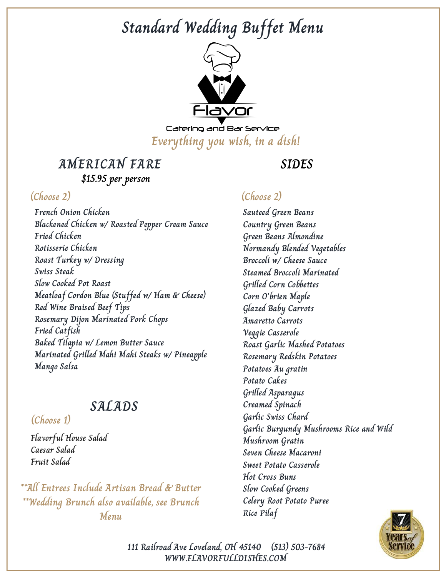

Catering and Bar Service **Everything you wish, in a dish!**

### **AMERICAN FARE \$15.95 per person**

**French Onion Chicken Blackened Chicken w/ Roasted Pepper Cream Sauce Fried Chicken Rotisserie Chicken Roast Turkey w/ Dressing Swiss Steak Slow Cooked Pot Roast Meatloaf Cordon Blue (Stuffed w/ Ham & Cheese) Red Wine Braised Beef Tips Rosemary Dijon Marinated Pork Chops Fried Catfish Baked Tilapia w/ Lemon Butter Sauce Marinated Grilled Mahi Mahi Steaks w/ Pineapple Mango Salsa**

### **SALADS**

### **(Choose 1)**

**Flavorful House Salad Caesar Salad Fruit Salad**

**\*\*All Entrees Include Artisan Bread & Butter \*\*Wedding Brunch also available, see Brunch Menu**

### **SIDES**

### **(Choose 2) (Choose 2)**

**Sauteed Green Beans Country Green Beans Green Beans Almondine Normandy Blended Vegetables Broccoli w/ Cheese Sauce Steamed Broccoli Marinated Grilled Corn Cobbettes Corn O'brien Maple Glazed Baby Carrots Amaretto Carrots Veggie Casserole Roast Garlic Mashed Potatoes Rosemary Redskin Potatoes Potatoes Au gratin Potato Cakes Grilled Asparagus Creamed Spinach Garlic Swiss Chard Garlic Burgundy Mushrooms Rice and Wild Mushroom Gratin Seven Cheese Macaroni Sweet Potato Casserole Hot Cross Buns Slow Cooked Greens Celery Root Potato Puree Rice Pilaf**



**WWW.FLAVORFULLDISHES.COM 111 Railroad Ave Loveland, OH 45140 (513) 503-7684**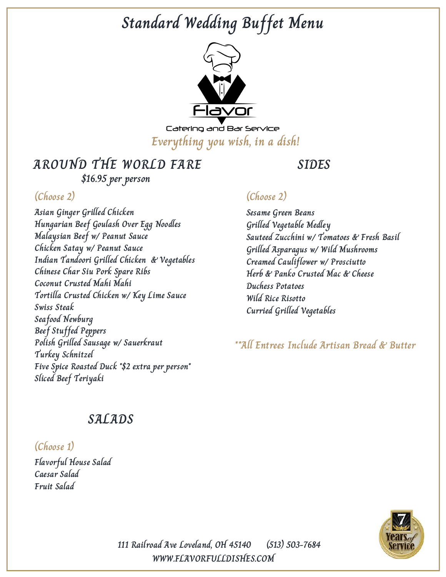

Catering and Bar Service **Everything you wish, in a dish!**

# **AROUND THE WORLD FARE**

**\$16.95 per person**

### **(Choose 2) (Choose 2)**

**Asian Ginger Grilled Chicken Hungarian Beef Goulash Over Egg Noodles Malaysian Beef w/ Peanut Sauce Chicken Satay w/ Peanut Sauce Indian Tandoori Grilled Chicken & Vegetables Chinese Char Siu Pork Spare Ribs Coconut Crusted Mahi Mahi Tortilla Crusted Chicken w/ Key Lime Sauce Swiss Steak Seafood Newburg Beef Stuffed Peppers Polish Grilled Sausage w/ Sauerkraut Turkey Schnitzel Five Spice Roasted Duck \*\$2 extra per person\* Sliced Beef Teriyaki**

**SIDES**

**Sesame Green Beans Grilled Vegetable Medley Sauteed Zucchini w/ Tomatoes & Fresh Basil Grilled Asparagus w/ Wild Mushrooms Creamed Cauliflower w/ Prosciutto Herb & Panko Crusted Mac & Cheese Duchess Potatoes Wild Rice Risotto Curried Grilled Vegetables**

**\*\*All Entrees Include Artisan Bread & Butter**

### **SALADS**

### **(Choose 1)**

**Flavorful House Salad Caesar Salad Fruit Salad**



**WWW.FLAVORFULLDISHES.COM 111 Railroad Ave Loveland, OH 45140 (513) 503-7684**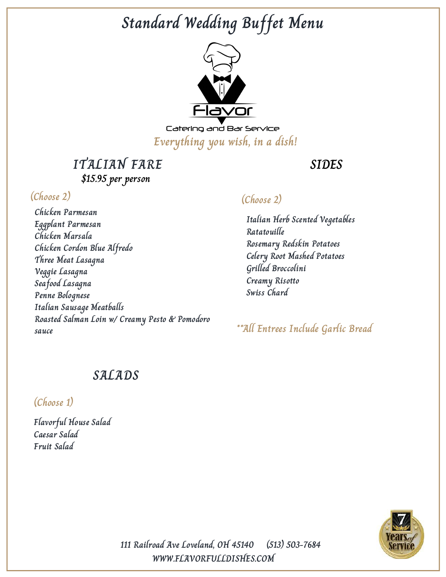

Catering and Bar Service **Everything you wish, in a dish!**

**ITALIAN FARE \$15.95 per person**

### **(Choose 2)**

**Chicken Parmesan Eggplant Parmesan Chicken Marsala Chicken Cordon Blue Alfredo Three Meat Lasagna Veggie Lasagna Seafood Lasagna Penne Bolognese Italian Sausage Meatballs Roasted Salman Loin w/ Creamy Pesto & Pomodoro sauce**

### **SIDES**

### **(Choose 2)**

**Italian Herb Scented Vegetables Ratatouille Rosemary Redskin Potatoes Celery Root Mashed Potatoes Grilled Broccolini Creamy Risotto Swiss Chard**

**\*\*All Entrees Include Garlic Bread**

### **SALADS**

**(Choose 1)**

**Flavorful House Salad Caesar Salad Fruit Salad**



**111 Railroad Ave Loveland, OH 45140 (513) 503-7684 WWW.FLAVORFULLDISHES.COM**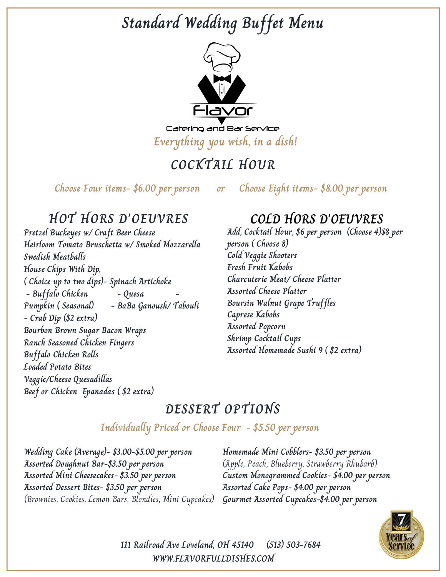

Catering and Bar Service **Everything you wish, in a dish!**

# **COCKTAIL HOUR**

**Choose Four items- \$6.00 per person or Choose Eight items- \$8.00 per person**

## **HOT HORS D'OEUVRES**

**Pretzel Buckeyes w/ Craft Beer Cheese Heirloom Tomato Bruschetta w/ Smoked Mozzarella Swedish Meatballs House Chips With Dip, ( Choice up to two dips)- Spinach Artichoke - Buffalo Chicken - Quesa - Pumpkin ( Seasonal) - BaBa Ganoush/ Tabouli - Crab Dip (\$2 extra) Bourbon Brown Sugar Bacon Wraps Ranch Seasoned Chicken Fingers Buffalo Chicken Rolls Loaded Potato Bites Veggie/Cheese Quesadillas Beef or Chicken Epanadas ( \$2 extra)**

## **COLD HORS D'OEUVRES**

**Add, Cocktail Hour, \$6 per person (Choose 4)\$8 per person ( Choose 8) Cold Veggie Shooters Fresh Fruit Kabobs Charcuterie Meat/ Cheese Platter Assorted Cheese Platter Boursin Walnut Grape Truffles Caprese Kabobs Assorted Popcorn Shrimp Cocktail Cups Assorted Homemade Sushi 9 ( \$2 extra)**

# **DESSERT OPTIONS**

### **Individually Priced or Choose Four - \$5.50 per person**

**Wedding Cake (Average)- \$3.00-\$5.00 per person Assorted Doughnut Bar-\$3.50 per person Assorted Mini Cheesecakes- \$3.50 per person Assorted Dessert Bites- \$3.50 per person** (Brownies, Cookies, Lemon Bars, Blondies, Mini Cupcakes)

**Homemade Mini Cobblers- \$3.50 per person** (Apple, Peach, Blueberry, Strawberry Rhubarb) **Custom Monogrammed Cookies- \$4.00 per person Assorted Cake Pops- \$4.00 per person Gourmet Assorted Cupcakes-\$4.00 per person**



**111 Railroad Ave Loveland, OH 45140 (513) 503-7684 WWW.FLAVORFULLDISHES.COM**